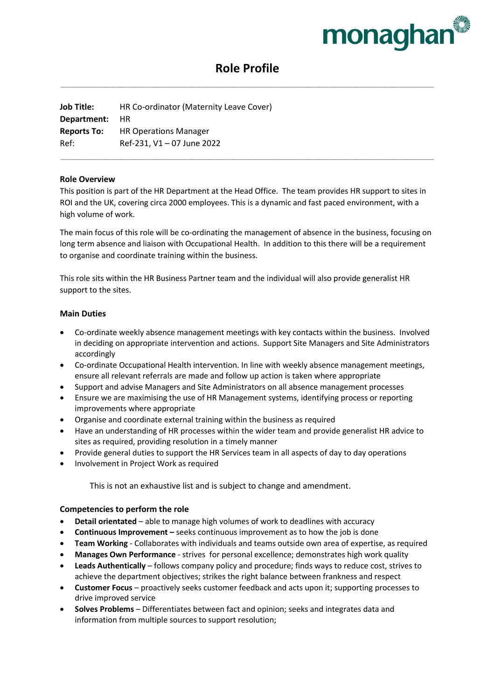

# **Role Profile** \_\_\_\_\_\_\_\_\_\_\_\_\_\_\_\_\_\_\_\_\_\_\_\_\_\_\_\_\_\_\_\_\_\_\_\_\_\_\_\_\_\_\_\_\_\_\_\_\_\_\_\_\_\_\_\_\_\_\_\_\_\_\_\_\_\_\_\_\_\_\_\_\_\_\_\_\_\_\_\_\_\_

**Job Title:** HR Co-ordinator (Maternity Leave Cover) **Department:** HR **Reports To:** HR Operations Manager Ref: Ref-231, V1 – 07 June 2022

## **Role Overview**

This position is part of the HR Department at the Head Office. The team provides HR support to sites in ROI and the UK, covering circa 2000 employees. This is a dynamic and fast paced environment, with a high volume of work.

\_\_\_\_\_\_\_\_\_\_\_\_\_\_\_\_\_\_\_\_\_\_\_\_\_\_\_\_\_\_\_\_\_\_\_\_\_\_\_\_\_\_\_\_\_\_\_\_\_\_\_\_\_\_\_\_\_\_\_\_\_\_\_\_\_\_\_\_\_\_\_\_\_\_\_\_\_\_\_\_\_\_

The main focus of this role will be co-ordinating the management of absence in the business, focusing on long term absence and liaison with Occupational Health. In addition to this there will be a requirement to organise and coordinate training within the business.

This role sits within the HR Business Partner team and the individual will also provide generalist HR support to the sites.

# **Main Duties**

- Co-ordinate weekly absence management meetings with key contacts within the business. Involved in deciding on appropriate intervention and actions. Support Site Managers and Site Administrators accordingly
- Co-ordinate Occupational Health intervention. In line with weekly absence management meetings, ensure all relevant referrals are made and follow up action is taken where appropriate
- Support and advise Managers and Site Administrators on all absence management processes
- Ensure we are maximising the use of HR Management systems, identifying process or reporting improvements where appropriate
- Organise and coordinate external training within the business as required
- Have an understanding of HR processes within the wider team and provide generalist HR advice to sites as required, providing resolution in a timely manner
- Provide general duties to support the HR Services team in all aspects of day to day operations
- Involvement in Project Work as required

This is not an exhaustive list and is subject to change and amendment.

#### **Competencies to perform the role**

- **Detail orientated** able to manage high volumes of work to deadlines with accuracy
- **Continuous Improvement –** seeks continuous improvement as to how the job is done
- **Team Working** Collaborates with individuals and teams outside own area of expertise, as required
- **Manages Own Performance**  strives for personal excellence; demonstrates high work quality
- **Leads Authentically** follows company policy and procedure; finds ways to reduce cost, strives to achieve the department objectives; strikes the right balance between frankness and respect
- **Customer Focus** proactively seeks customer feedback and acts upon it; supporting processes to drive improved service
- **Solves Problems** Differentiates between fact and opinion; seeks and integrates data and information from multiple sources to support resolution;